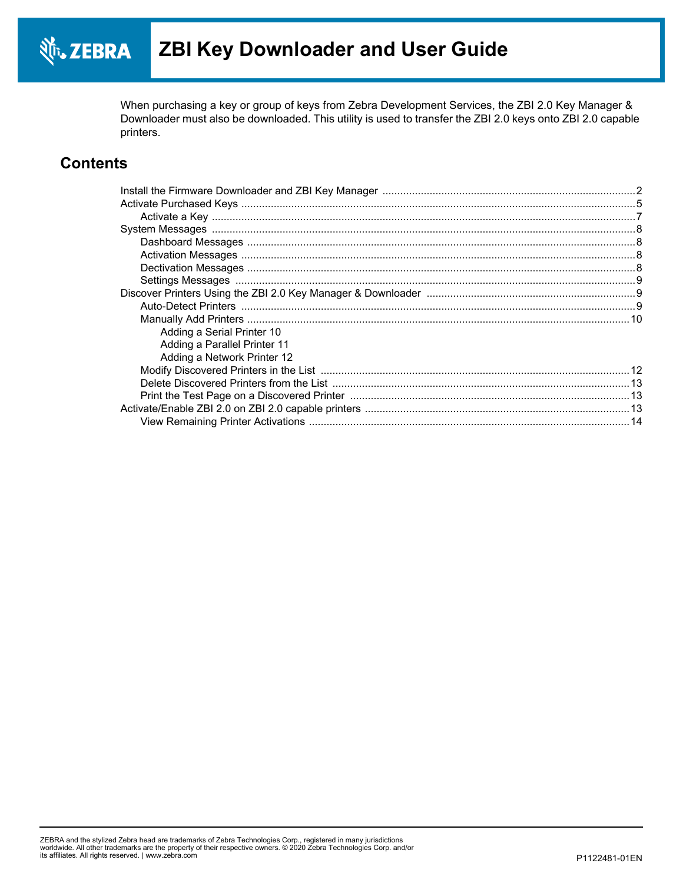When purchasing a key or group of keys from Zebra Development Services, the ZBI 2.0 Key Manager & Downloader must also be downloaded. This utility is used to transfer the ZBI 2.0 keys onto ZBI 2.0 capable printers.

### **Contents**

| Adding a Serial Printer 10   |  |
|------------------------------|--|
| Adding a Parallel Printer 11 |  |
| Adding a Network Printer 12  |  |
|                              |  |
|                              |  |
|                              |  |
|                              |  |
|                              |  |
|                              |  |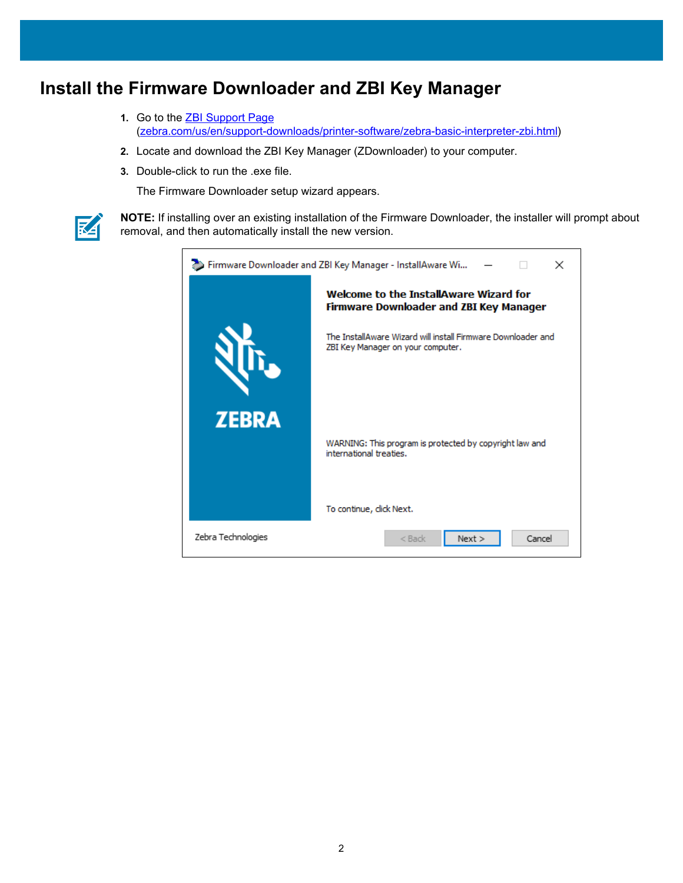### <span id="page-1-0"></span>**Install the Firmware Downloader and ZBI Key Manager**

- **1.** [Go to the](https://www.zebra.com/us/en/support-downloads/printer-software/zebra-basic-interpreter-zbi.html) ZBI Support Page [\(z](https://www.zebra.com/us/en/support-downloads/printer-software/zebra-basic-interpreter-zbi.html)ebra.com/us/en/support-downloads/printer-software/zebra-basic-interpreter-zbi.html)
- **2.** Locate and download the ZBI Key Manager (ZDownloader) to your computer.
- **3.** Double-click to run the .exe file.

The Firmware Downloader setup wizard appears.



**NOTE:** If installing over an existing installation of the Firmware Downloader, the installer will prompt about removal, and then automatically install the new version.

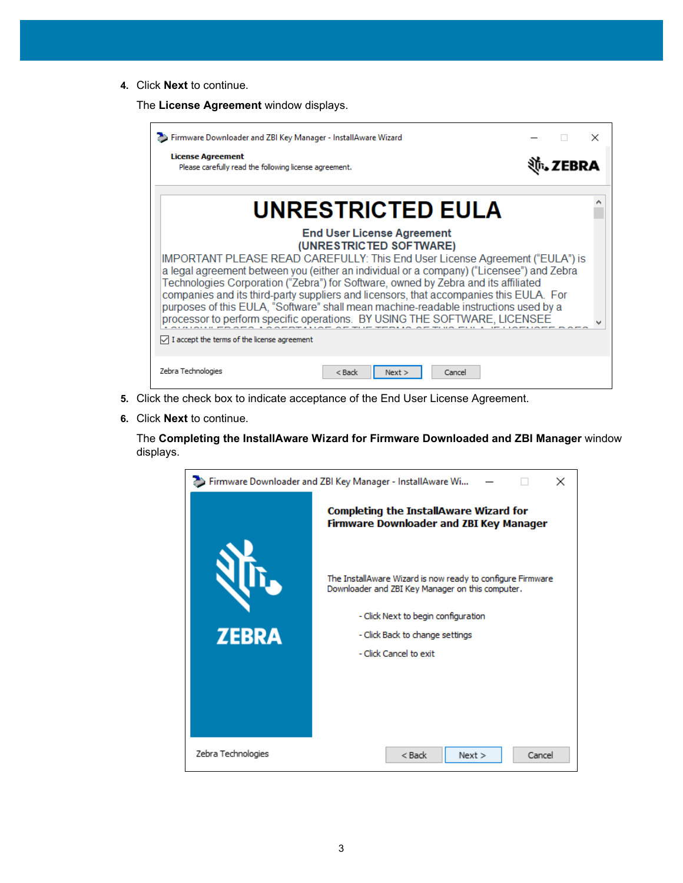**4.** Click **Next** to continue.

The **License Agreement** window displays.

| Firmware Downloader and ZBI Key Manager - InstallAware Wizard                                                                                                                                                                                                                                                                                                                                                                                                                                                                                                                                                                                                     |  |  |
|-------------------------------------------------------------------------------------------------------------------------------------------------------------------------------------------------------------------------------------------------------------------------------------------------------------------------------------------------------------------------------------------------------------------------------------------------------------------------------------------------------------------------------------------------------------------------------------------------------------------------------------------------------------------|--|--|
| <b>License Agreement</b><br>Please carefully read the following license agreement.                                                                                                                                                                                                                                                                                                                                                                                                                                                                                                                                                                                |  |  |
| <b>UNRESTRICTED EULA</b>                                                                                                                                                                                                                                                                                                                                                                                                                                                                                                                                                                                                                                          |  |  |
| <b>End User License Agreement</b><br>(UNRESTRICTED SOFTWARE)<br>IMPORTANT PLEASE READ CAREFULLY: This End User License Agreement ("EULA") is<br>a legal agreement between you (either an individual or a company) ("Licensee") and Zebra<br>Technologies Corporation ("Zebra") for Software, owned by Zebra and its affiliated<br>companies and its third-party suppliers and licensors, that accompanies this EULA. For<br>purposes of this EULA, "Software" shall mean machine-readable instructions used by a<br>processor to perform specific operations. BY USING THE SOFTWARE, LICENSEE<br>$\sqrt{\phantom{a}}$ I accept the terms of the license agreement |  |  |
| Zebra Technologies<br>$<$ Back<br>Cancel<br>Next                                                                                                                                                                                                                                                                                                                                                                                                                                                                                                                                                                                                                  |  |  |

- **5.** Click the check box to indicate acceptance of the End User License Agreement.
- **6.** Click **Next** to continue.

The **Completing the InstallAware Wizard for Firmware Downloaded and ZBI Manager** window displays.

| Firmware Downloader and ZBI Key Manager - InstallAware Wi<br>× |                                                                                                                |  |  |  |
|----------------------------------------------------------------|----------------------------------------------------------------------------------------------------------------|--|--|--|
|                                                                | <b>Completing the InstallAware Wizard for</b><br><b>Firmware Downloader and ZBI Key Manager</b>                |  |  |  |
|                                                                | The InstallAware Wizard is now ready to configure Firmware<br>Downloader and ZBI Key Manager on this computer. |  |  |  |
|                                                                | - Click Next to begin configuration                                                                            |  |  |  |
| <b>ZEBRA</b>                                                   | - Click Back to change settings                                                                                |  |  |  |
|                                                                | - Click Cancel to exit                                                                                         |  |  |  |
|                                                                |                                                                                                                |  |  |  |
|                                                                |                                                                                                                |  |  |  |
|                                                                |                                                                                                                |  |  |  |
| Zebra Technologies                                             | Cancel<br>$<$ Back<br>Next >                                                                                   |  |  |  |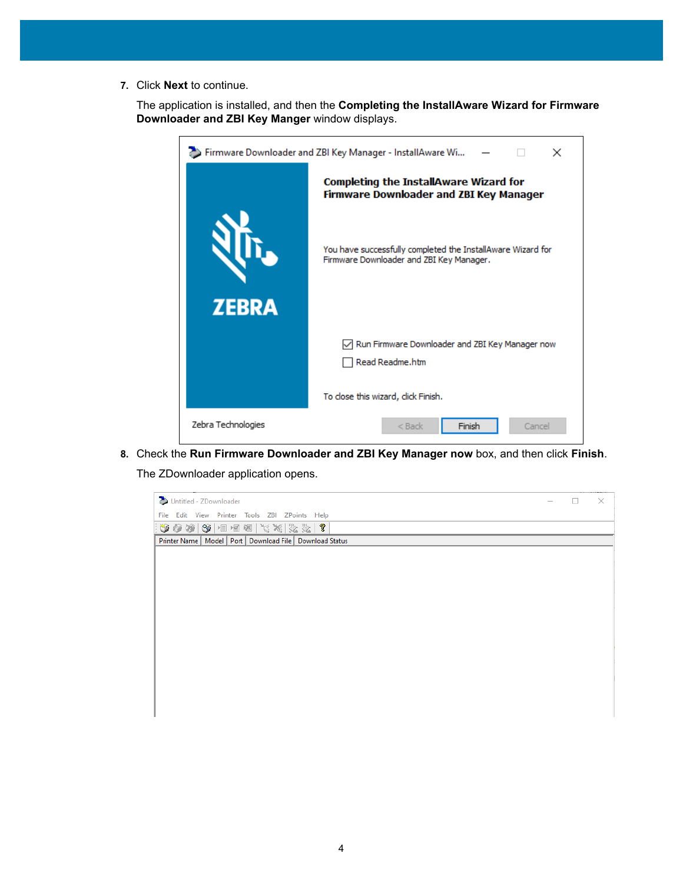**7.** Click **Next** to continue.

The application is installed, and then the **Completing the InstallAware Wizard for Firmware Downloader and ZBI Key Manger** window displays.

| Firmware Downloader and ZBI Key Manager - InstallAware Wi<br>× |                                                                                                         |  |  |  |  |
|----------------------------------------------------------------|---------------------------------------------------------------------------------------------------------|--|--|--|--|
|                                                                | Completing the InstallAware Wizard for<br><b>Firmware Downloader and ZBI Key Manager</b>                |  |  |  |  |
| <b>ZEBRA</b>                                                   | You have successfully completed the InstallAware Wizard for<br>Firmware Downloader and ZBI Key Manager. |  |  |  |  |
|                                                                | Run Firmware Downloader and ZBI Key Manager now<br>Read Readme.htm                                      |  |  |  |  |
|                                                                | To close this wizard, click Finish.                                                                     |  |  |  |  |
| Zebra Technologies                                             | Finish<br>$<$ Back<br>Cancel                                                                            |  |  |  |  |

**8.** Check the **Run Firmware Downloader and ZBI Key Manager now** box, and then click **Finish**.

The ZDownloader application opens.

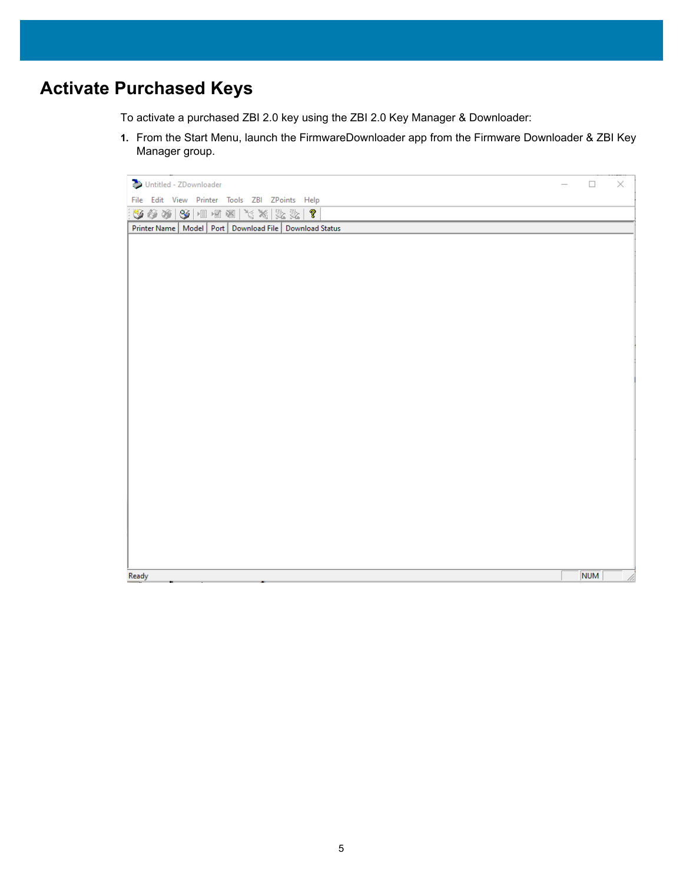# <span id="page-4-0"></span>**Activate Purchased Keys**

To activate a purchased ZBI 2.0 key using the ZBI 2.0 Key Manager & Downloader:

**1.** From the Start Menu, launch the FirmwareDownloader app from the Firmware Downloader & ZBI Key Manager group.

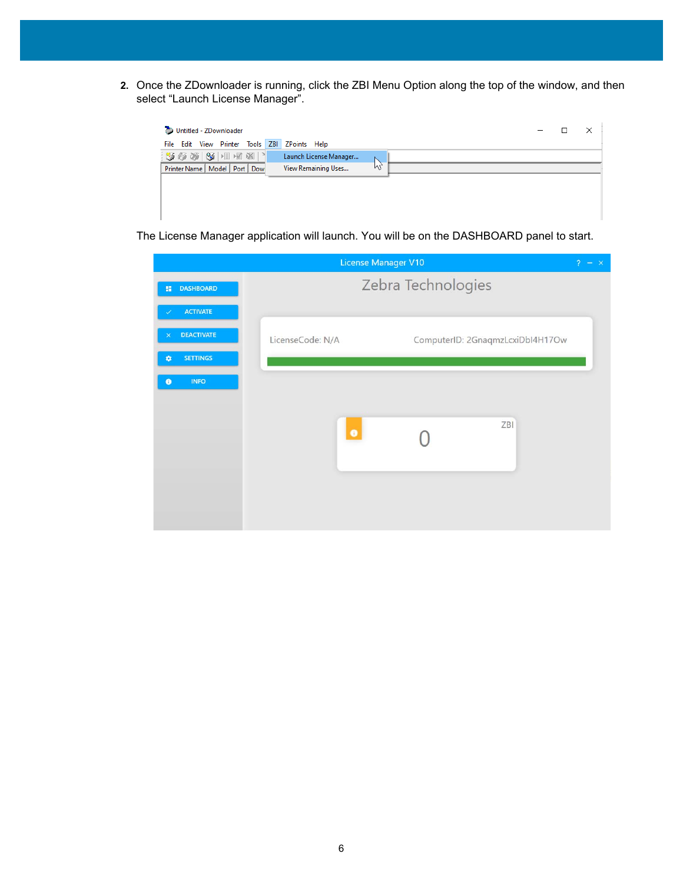**2.** Once the ZDownloader is running, click the ZBI Menu Option along the top of the window, and then select "Launch License Manager".



The License Manager application will launch. You will be on the DASHBOARD panel to start.

|                          |                    | License Manager V10              | 2<br>$- x$ |  |
|--------------------------|--------------------|----------------------------------|------------|--|
| <b>DASHBOARD</b><br>部    | Zebra Technologies |                                  |            |  |
| <b>ACTIVATE</b>          |                    |                                  |            |  |
| <b>DEACTIVATE</b>        | LicenseCode: N/A   | ComputerID: 2GnaqmzLcxiDbI4H17Ow |            |  |
| <b>SETTINGS</b><br>۰     |                    |                                  |            |  |
| <b>INFO</b><br>$\bullet$ |                    |                                  |            |  |
|                          |                    |                                  |            |  |
|                          | $\bullet$          | ZBI                              |            |  |
|                          |                    |                                  |            |  |
|                          |                    |                                  |            |  |
|                          |                    |                                  |            |  |
|                          |                    |                                  |            |  |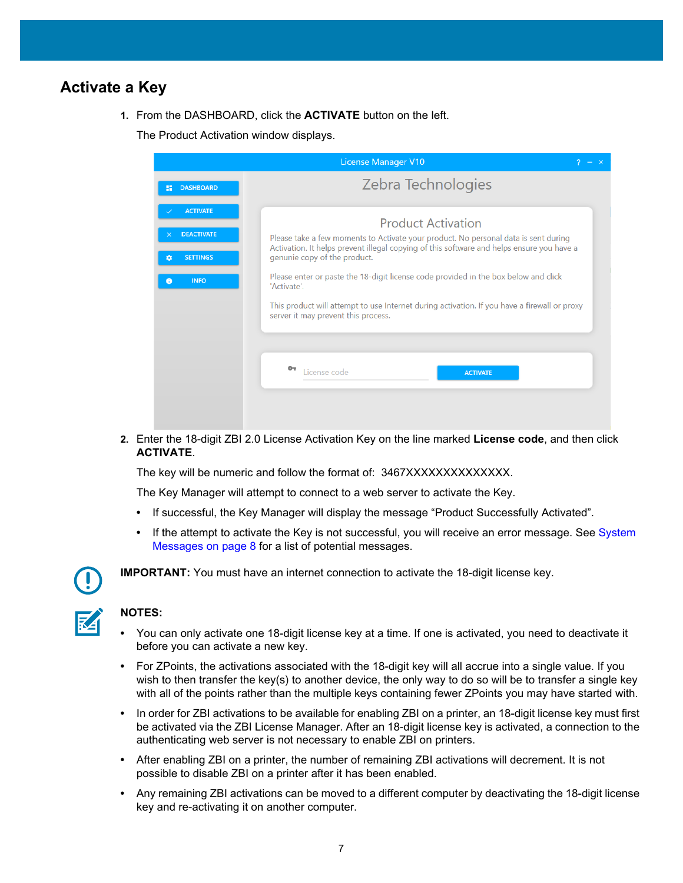#### <span id="page-6-0"></span>**Activate a Key**

**1.** From the DASHBOARD, click the **ACTIVATE** button on the left.

The Product Activation window displays.

|                                           | <b>License Manager V10</b><br>2.<br>$\mathbb{R}^{\times}$                                                                                                                        |  |  |  |  |
|-------------------------------------------|----------------------------------------------------------------------------------------------------------------------------------------------------------------------------------|--|--|--|--|
| <b>DASHBOARD</b><br>H.                    | Zebra Technologies                                                                                                                                                               |  |  |  |  |
| <b>ACTIVATE</b>                           | <b>Product Activation</b>                                                                                                                                                        |  |  |  |  |
| <b>DEACTIVATE</b><br><b>SETTINGS</b><br>û | Please take a few moments to Activate your product. No personal data is sent during<br>Activation. It helps prevent illegal copying of this software and helps ensure you have a |  |  |  |  |
| <b>INFO</b><br>8                          | genunie copy of the product.<br>Please enter or paste the 18-digit license code provided in the box below and click<br>'Activate'.                                               |  |  |  |  |
|                                           | This product will attempt to use Internet during activation. If you have a firewall or proxy<br>server it may prevent this process.                                              |  |  |  |  |
|                                           |                                                                                                                                                                                  |  |  |  |  |
|                                           | License code<br><b>ACTIVATE</b>                                                                                                                                                  |  |  |  |  |
|                                           |                                                                                                                                                                                  |  |  |  |  |

**2.** Enter the 18-digit ZBI 2.0 License Activation Key on the line marked **License code**, and then click **ACTIVATE**.

The key will be numeric and follow the format of: 3467XXXXXXXXXXXXXXX.

The Key Manager will attempt to connect to a web server to activate the Key.

- **•** If successful, the Key Manager will display the message "Product Successfully Activated".
- **•** If the attempt to activate the Key is not successful, you will receive an error message. See [System](#page-7-0)  [Messages on page 8](#page-7-0) for a list of potential messages.



**IMPORTANT:** You must have an internet connection to activate the 18-digit license key.

#### **NOTES:**

- **•** You can only activate one 18-digit license key at a time. If one is activated, you need to deactivate it before you can activate a new key.
- **•** For ZPoints, the activations associated with the 18-digit key will all accrue into a single value. If you wish to then transfer the key(s) to another device, the only way to do so will be to transfer a single key with all of the points rather than the multiple keys containing fewer ZPoints you may have started with.
- **•** In order for ZBI activations to be available for enabling ZBI on a printer, an 18-digit license key must first be activated via the ZBI License Manager. After an 18-digit license key is activated, a connection to the authenticating web server is not necessary to enable ZBI on printers.
- **•** After enabling ZBI on a printer, the number of remaining ZBI activations will decrement. It is not possible to disable ZBI on a printer after it has been enabled.
- **•** Any remaining ZBI activations can be moved to a different computer by deactivating the 18-digit license key and re-activating it on another computer.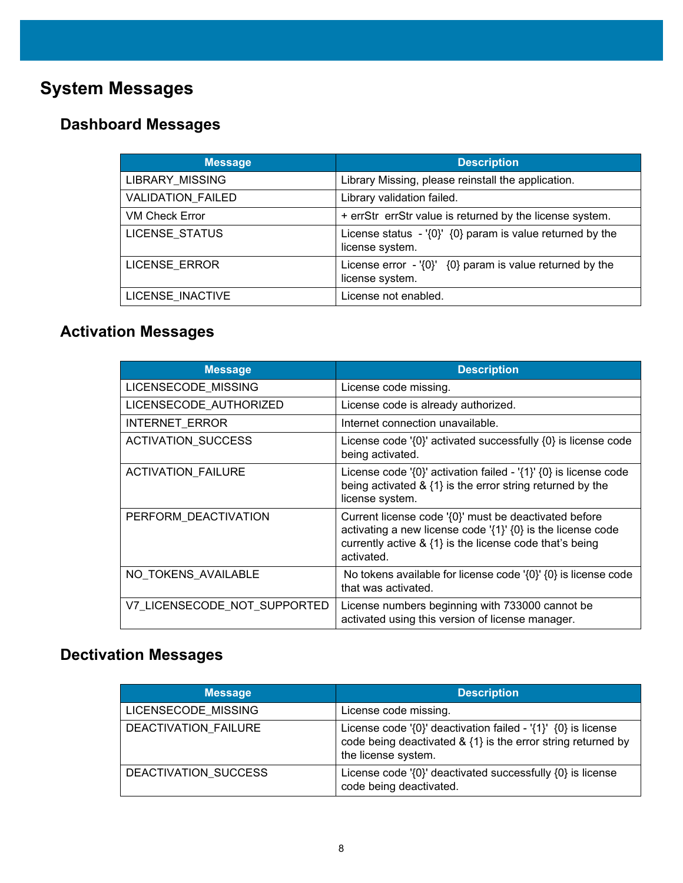# <span id="page-7-0"></span>**System Messages**

## <span id="page-7-1"></span>**Dashboard Messages**

| <b>Message</b>           | <b>Description</b>                                                             |
|--------------------------|--------------------------------------------------------------------------------|
| LIBRARY_MISSING          | Library Missing, please reinstall the application.                             |
| <b>VALIDATION FAILED</b> | Library validation failed.                                                     |
| <b>VM Check Error</b>    | + errStr errStr value is returned by the license system.                       |
| <b>LICENSE STATUS</b>    | License status $-$ '{0}' {0} param is value returned by the<br>license system. |
| <b>LICENSE ERROR</b>     | License error $-$ '{0}' {0} param is value returned by the<br>license system.  |
| LICENSE INACTIVE         | License not enabled.                                                           |

## <span id="page-7-2"></span>**Activation Messages**

| <b>Message</b>               | <b>Description</b>                                                                                                                                                                                      |
|------------------------------|---------------------------------------------------------------------------------------------------------------------------------------------------------------------------------------------------------|
| LICENSECODE MISSING          | License code missing.                                                                                                                                                                                   |
| LICENSECODE AUTHORIZED       | License code is already authorized.                                                                                                                                                                     |
| <b>INTERNET ERROR</b>        | Internet connection unavailable.                                                                                                                                                                        |
| ACTIVATION_SUCCESS           | License code '{0}' activated successfully {0} is license code<br>being activated.                                                                                                                       |
| <b>ACTIVATION_FAILURE</b>    | License code ' $\{0\}$ ' activation failed - ' $\{1\}$ ' $\{0\}$ is license code<br>being activated $\&$ {1} is the error string returned by the<br>license system.                                     |
| PERFORM_DEACTIVATION         | Current license code '{0}' must be deactivated before<br>activating a new license code ' $\{1\}$ ' $\{0\}$ is the license code<br>currently active & {1} is the license code that's being<br>activated. |
| NO TOKENS AVAILABLE          | No tokens available for license code $\{0\}$ $\{0\}$ is license code<br>that was activated.                                                                                                             |
| V7_LICENSECODE_NOT_SUPPORTED | License numbers beginning with 733000 cannot be<br>activated using this version of license manager.                                                                                                     |

## <span id="page-7-3"></span>**Dectivation Messages**

| <b>Message</b>              | <b>Description</b>                                                                                                                                       |
|-----------------------------|----------------------------------------------------------------------------------------------------------------------------------------------------------|
| LICENSECODE MISSING         | License code missing.                                                                                                                                    |
| <b>DEACTIVATION FAILURE</b> | License code '{0}' deactivation failed - '{1}' $\{0\}$ is license<br>code being deactivated & {1} is the error string returned by<br>the license system. |
| DEACTIVATION SUCCESS        | License code '{0}' deactivated successfully {0} is license<br>code being deactivated.                                                                    |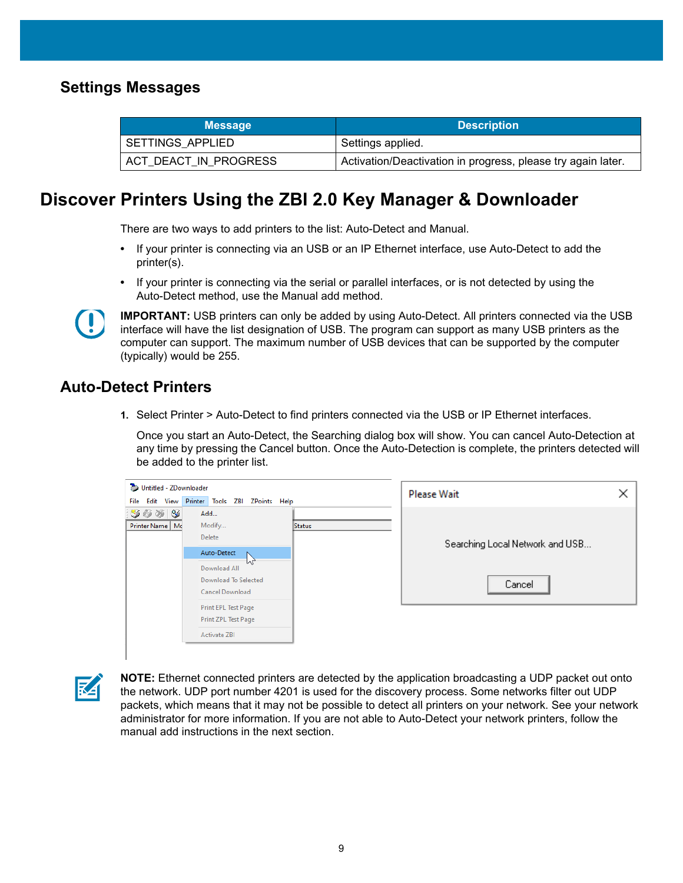#### <span id="page-8-0"></span>**Settings Messages**

| <b>Message</b>        | <b>Description</b>                                           |
|-----------------------|--------------------------------------------------------------|
| SETTINGS APPLIED      | Settings applied.                                            |
| ACT_DEACT_IN_PROGRESS | Activation/Deactivation in progress, please try again later. |

### <span id="page-8-1"></span>**Discover Printers Using the ZBI 2.0 Key Manager & Downloader**

There are two ways to add printers to the list: Auto-Detect and Manual.

- **•** If your printer is connecting via an USB or an IP Ethernet interface, use Auto-Detect to add the printer(s).
- **•** If your printer is connecting via the serial or parallel interfaces, or is not detected by using the Auto-Detect method, use the Manual add method.



**IMPORTANT:** USB printers can only be added by using Auto-Detect. All printers connected via the USB interface will have the list designation of USB. The program can support as many USB printers as the computer can support. The maximum number of USB devices that can be supported by the computer (typically) would be 255.

#### <span id="page-8-2"></span>**Auto-Detect Printers**

**1.** Select Printer > Auto-Detect to find printers connected via the USB or IP Ethernet interfaces.

Once you start an Auto-Detect, the Searching dialog box will show. You can cancel Auto-Detection at any time by pressing the Cancel button. Once the Auto-Detection is complete, the printers detected will be added to the printer list.

| Untitled - ZDownloader |                                |        | <b>Please Wait</b>              |  |
|------------------------|--------------------------------|--------|---------------------------------|--|
| File Edit View         | Printer Tools ZBI ZPoints Help |        |                                 |  |
| 5603                   | Add                            |        |                                 |  |
| Printer Name   Mc      | Modify                         | Status |                                 |  |
|                        | Delete                         |        |                                 |  |
|                        | Auto-Detect                    |        | Searching Local Network and USB |  |
|                        | M<br>Download All              |        |                                 |  |
|                        | Download To Selected           |        | Cancel                          |  |
|                        | Cancel Download                |        |                                 |  |
|                        | Print EPL Test Page            |        |                                 |  |
|                        | Print ZPL Test Page            |        |                                 |  |
|                        | <b>Activate ZBI</b>            |        |                                 |  |

**K4** 

**NOTE:** Ethernet connected printers are detected by the application broadcasting a UDP packet out onto the network. UDP port number 4201 is used for the discovery process. Some networks filter out UDP packets, which means that it may not be possible to detect all printers on your network. See your network administrator for more information. If you are not able to Auto-Detect your network printers, follow the manual add instructions in the next section.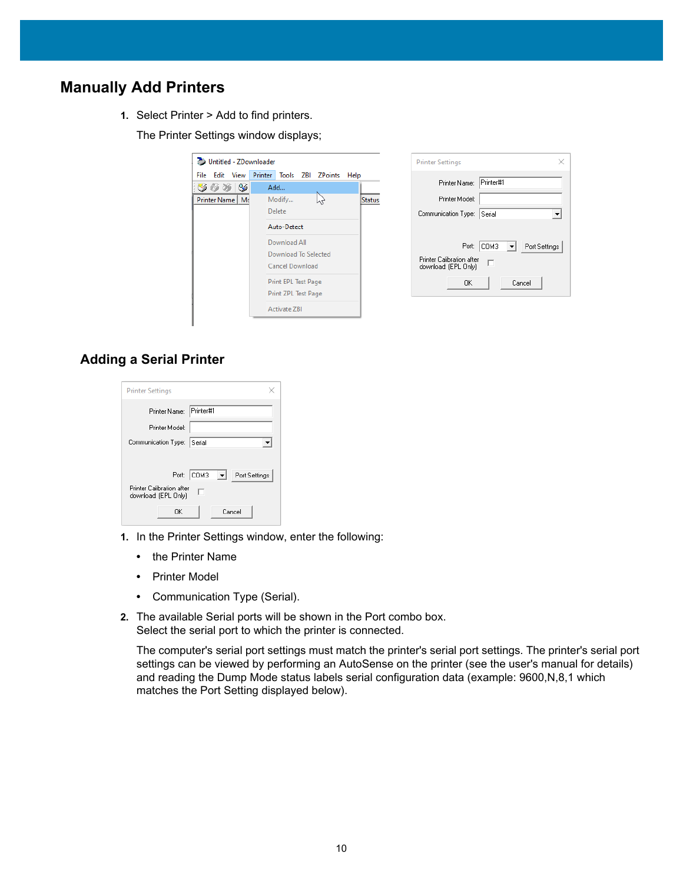### <span id="page-9-0"></span>**Manually Add Printers**

**1.** Select Printer > Add to find printers.

The Printer Settings window displays;



| <b>Printer Settings</b>                                |  |
|--------------------------------------------------------|--|
| Printer#1<br>Printer Name:                             |  |
| Printer Model:                                         |  |
| Communication Type:<br>Serial                          |  |
|                                                        |  |
| сомз<br>Port:<br>Port Settings                         |  |
| Printer Calibration after<br>г<br>download: (EPL Only) |  |
| Cancel<br>OΚ                                           |  |

#### <span id="page-9-1"></span>**Adding a Serial Printer**

| <b>Printer Settings</b>                                |
|--------------------------------------------------------|
| Printer#1<br>Printer Name:                             |
| Printer Model:                                         |
| Communication Type: Serial                             |
|                                                        |
| COM3<br>Port:<br>Port Settings                         |
| Printer Calibration after<br>п<br>download: (EPL Only) |
| Cancel<br>OK                                           |

- **1.** In the Printer Settings window, enter the following:
	- **•** the Printer Name
	- **•** Printer Model
	- **•** Communication Type (Serial).
- **2.** The available Serial ports will be shown in the Port combo box. Select the serial port to which the printer is connected.

The computer's serial port settings must match the printer's serial port settings. The printer's serial port settings can be viewed by performing an AutoSense on the printer (see the user's manual for details) and reading the Dump Mode status labels serial configuration data (example: 9600,N,8,1 which matches the Port Setting displayed below).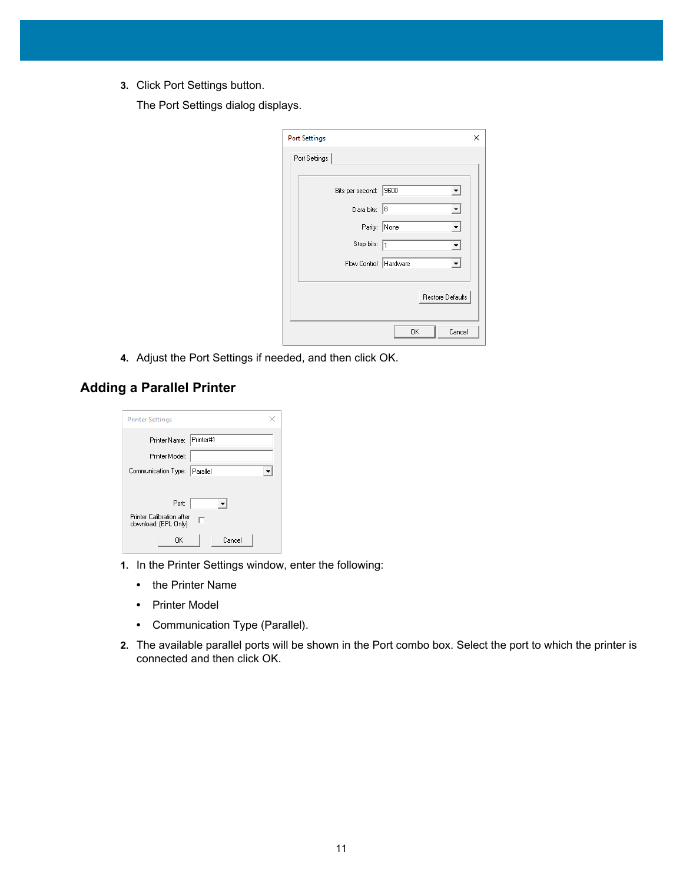**3.** Click Port Settings button.

The Port Settings dialog displays.

| <b>Port Settings</b>    |                  | ×       |
|-------------------------|------------------|---------|
| Port Settings           |                  |         |
|                         |                  |         |
| Bits per second: 9600   |                  | ▾       |
| Data bits: 8            |                  | ▾╎      |
| Parity: None            |                  | ▾╎      |
| Stop bits: 1            |                  | $\vert$ |
| Flow Control   Hardware |                  | ▾       |
|                         |                  |         |
|                         | Restore Defaults |         |
|                         |                  |         |
|                         | 0K               | Cancel  |

**4.** Adjust the Port Settings if needed, and then click OK.

#### <span id="page-10-0"></span>**Adding a Parallel Printer**

| <b>Printer Settings</b>                                |
|--------------------------------------------------------|
| Printer#1<br>Printer Name:                             |
| Printer Model:                                         |
| Communication Type:<br>Parallel                        |
|                                                        |
| Port:                                                  |
| Printer Calibration after<br>г<br>download: (EPL Only) |
| Cancel<br>OK                                           |

- **1.** In the Printer Settings window, enter the following:
	- **•** the Printer Name
	- **•** Printer Model
	- **•** Communication Type (Parallel).
- **2.** The available parallel ports will be shown in the Port combo box. Select the port to which the printer is connected and then click OK.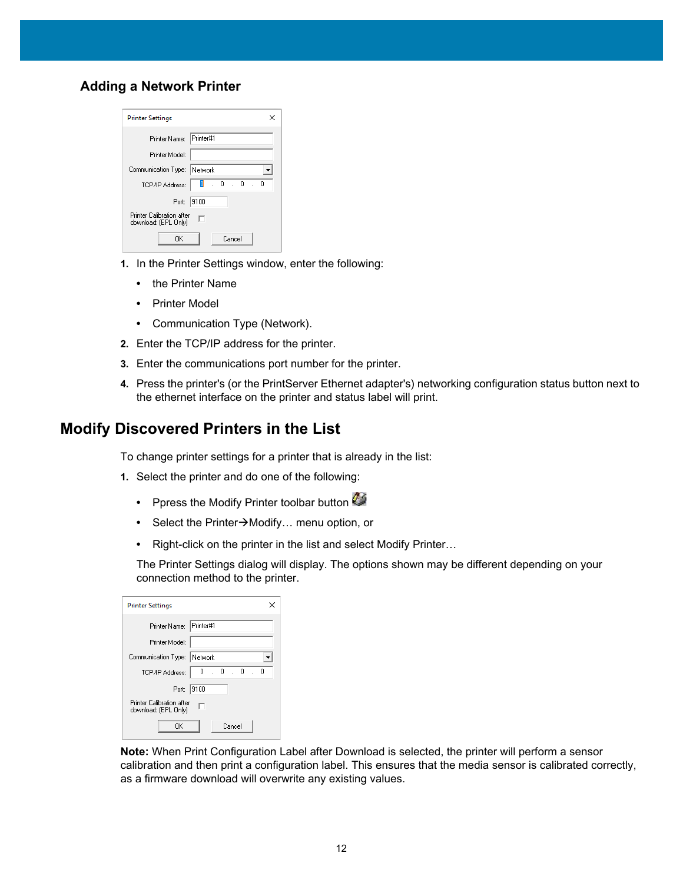#### <span id="page-11-0"></span>**Adding a Network Printer**

| <b>Printer Settings</b>                                |
|--------------------------------------------------------|
| Printer#1<br>Printer Name:                             |
| Printer Model:                                         |
| Communication Type: Network                            |
| 0<br>$\sim$ 0<br>$\sim$ 0<br>Ω<br>TCP/IP Address:      |
| 9100<br>Port:                                          |
| Printer Calibration after<br>п<br>download: (EPL Only) |
| Cancel<br>OΚ                                           |

- **1.** In the Printer Settings window, enter the following:
	- **•** the Printer Name
	- **•** Printer Model
	- **•** Communication Type (Network).
- **2.** Enter the TCP/IP address for the printer.
- **3.** Enter the communications port number for the printer.
- **4.** Press the printer's (or the PrintServer Ethernet adapter's) networking configuration status button next to the ethernet interface on the printer and status label will print.

#### <span id="page-11-1"></span>**Modify Discovered Printers in the List**

To change printer settings for a printer that is already in the list:

- **1.** Select the printer and do one of the following:
	- Ppress the Modify Printer toolbar button
	- Select the Printer->Modify... menu option, or
	- **•** Right-click on the printer in the list and select Modify Printer…

The Printer Settings dialog will display. The options shown may be different depending on your connection method to the printer.

| <b>Printer Settings</b>                                   |
|-----------------------------------------------------------|
| Printer Name: Printer#1                                   |
| Printer Model:                                            |
| Communication Type: Network                               |
| $\sim$ 0<br>$\therefore$ 0<br>0<br>TCP/IP Address:<br>. 0 |
| Port:<br>19100                                            |
| <b>Printer Calibration after</b><br>download: (EPL Only)  |
| Cancel<br>OK                                              |

**Note:** When Print Configuration Label after Download is selected, the printer will perform a sensor calibration and then print a configuration label. This ensures that the media sensor is calibrated correctly, as a firmware download will overwrite any existing values.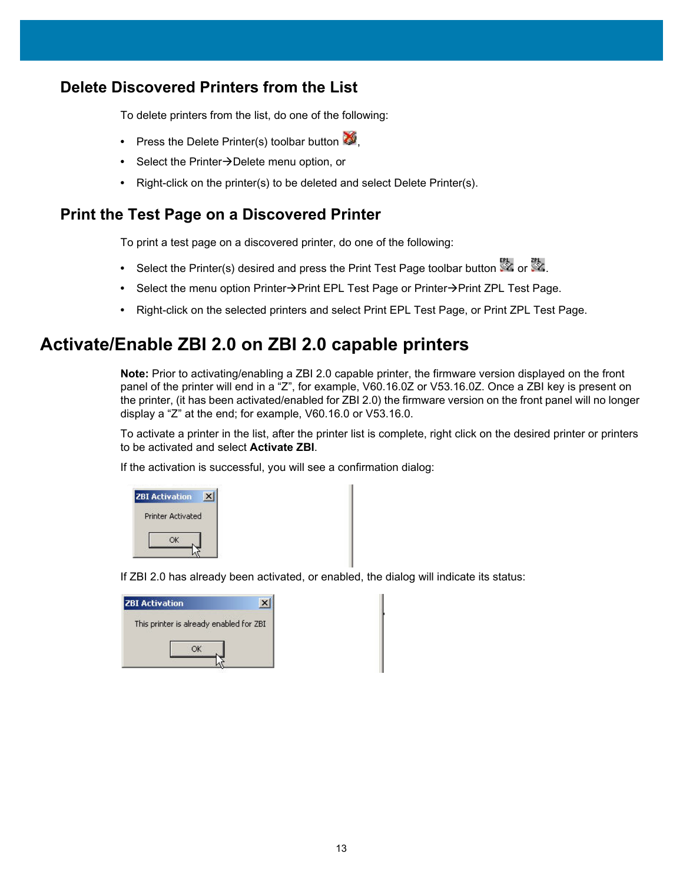#### <span id="page-12-0"></span>**Delete Discovered Printers from the List**

To delete printers from the list, do one of the following:

- Press the Delete Printer(s) toolbar button
- Select the Printer->Delete menu option, or
- **•** Right-click on the printer(s) to be deleted and select Delete Printer(s).

#### <span id="page-12-1"></span>**Print the Test Page on a Discovered Printer**

To print a test page on a discovered printer, do one of the following:

- Select the Printer(s) desired and press the Print Test Page toolbar button  $\mathbb{Z}$  or  $\mathbb{Z}$ .
- Select the menu option Printer->Print EPL Test Page or Printer->Print ZPL Test Page.
- **•** Right-click on the selected printers and select Print EPL Test Page, or Print ZPL Test Page.

### <span id="page-12-2"></span>**Activate/Enable ZBI 2.0 on ZBI 2.0 capable printers**

**Note:** Prior to activating/enabling a ZBI 2.0 capable printer, the firmware version displayed on the front panel of the printer will end in a "Z", for example, V60.16.0Z or V53.16.0Z. Once a ZBI key is present on the printer, (it has been activated/enabled for ZBI 2.0) the firmware version on the front panel will no longer display a "Z" at the end; for example, V60.16.0 or V53.16.0.

To activate a printer in the list, after the printer list is complete, right click on the desired printer or printers to be activated and select **Activate ZBI**.

If the activation is successful, you will see a confirmation dialog:

| <b>ZBI Activation</b> |                          |  |
|-----------------------|--------------------------|--|
|                       | <b>Printer Activated</b> |  |
|                       | ОK                       |  |
|                       |                          |  |

If ZBI 2.0 has already been activated, or enabled, the dialog will indicate its status:

| <b>ZBI Activation</b>                   |  |
|-----------------------------------------|--|
| This printer is already enabled for ZBI |  |
|                                         |  |
|                                         |  |